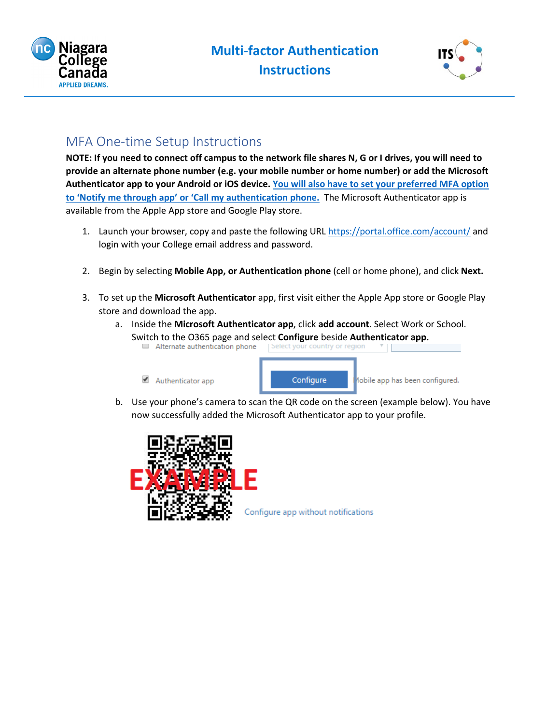



## MFA One-time Setup Instructions

**NOTE: If you need to connect off campus to the network file shares N, G or I drives, you will need to provide an alternate phone number (e.g. your mobile number or home number) or add the Microsoft Authenticator app to your Android or iOS device. You will also [have to set your preferred MFA](#page-1-0) option to 'Notify me through app' [or 'Call my authentication phone.](#page-1-0)** The Microsoft Authenticator app is available from the Apple App store and Google Play store.

- 1. Launch your browser, copy and paste the following URL <https://portal.office.com/account/> and login with your College email address and password.
- 2. Begin by selecting **Mobile App, or Authentication phone** (cell or home phone), and click **Next.**
- 3. To set up the **Microsoft Authenticator** app, first visit either the Apple App store or Google Play store and download the app.
	- a. Inside the **Microsoft Authenticator app**, click **add account**. Select Work or School. Switch to the O365 page and select **Configure** beside **Authenticator app.**



b. Use your phone's camera to scan the QR code on the screen (example below). You have now successfully added the Microsoft Authenticator app to your profile.



Configure app without notifications